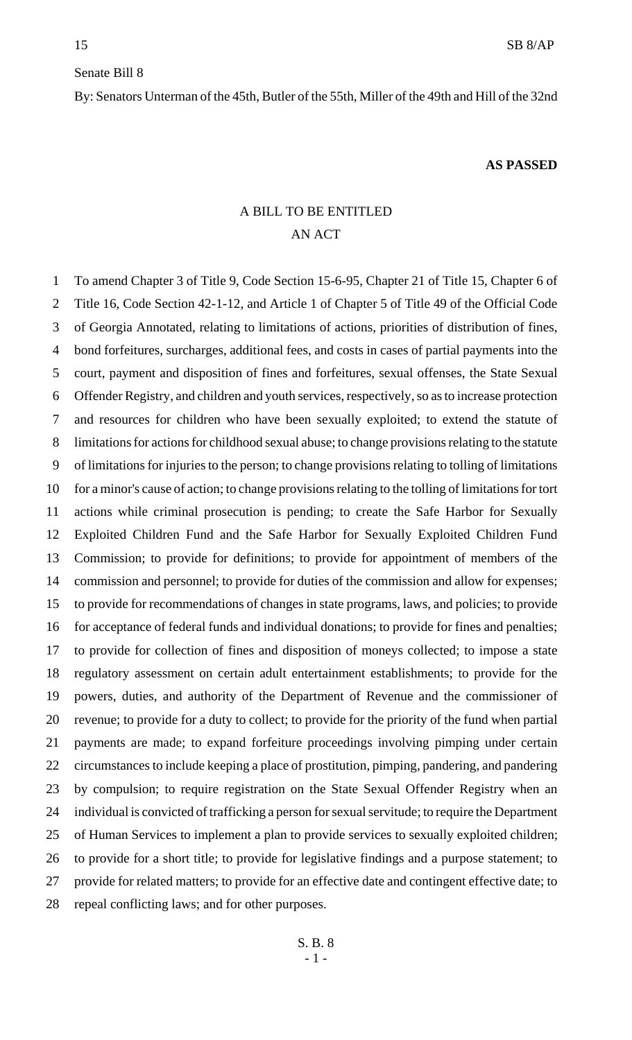#### Senate Bill 8

By: Senators Unterman of the 45th, Butler of the 55th, Miller of the 49th and Hill of the 32nd

#### **AS PASSED**

# A BILL TO BE ENTITLED AN ACT

 To amend Chapter 3 of Title 9, Code Section 15-6-95, Chapter 21 of Title 15, Chapter 6 of Title 16, Code Section 42-1-12, and Article 1 of Chapter 5 of Title 49 of the Official Code of Georgia Annotated, relating to limitations of actions, priorities of distribution of fines, bond forfeitures, surcharges, additional fees, and costs in cases of partial payments into the court, payment and disposition of fines and forfeitures, sexual offenses, the State Sexual Offender Registry, and children and youth services, respectively, so as to increase protection and resources for children who have been sexually exploited; to extend the statute of limitations for actions for childhood sexual abuse; to change provisions relating to the statute of limitations for injuries to the person; to change provisions relating to tolling of limitations for a minor's cause of action; to change provisions relating to the tolling of limitations for tort actions while criminal prosecution is pending; to create the Safe Harbor for Sexually Exploited Children Fund and the Safe Harbor for Sexually Exploited Children Fund Commission; to provide for definitions; to provide for appointment of members of the commission and personnel; to provide for duties of the commission and allow for expenses; to provide for recommendations of changes in state programs, laws, and policies; to provide for acceptance of federal funds and individual donations; to provide for fines and penalties; to provide for collection of fines and disposition of moneys collected; to impose a state regulatory assessment on certain adult entertainment establishments; to provide for the powers, duties, and authority of the Department of Revenue and the commissioner of revenue; to provide for a duty to collect; to provide for the priority of the fund when partial payments are made; to expand forfeiture proceedings involving pimping under certain circumstances to include keeping a place of prostitution, pimping, pandering, and pandering by compulsion; to require registration on the State Sexual Offender Registry when an individual is convicted of trafficking a person for sexual servitude; to require the Department of Human Services to implement a plan to provide services to sexually exploited children; to provide for a short title; to provide for legislative findings and a purpose statement; to provide for related matters; to provide for an effective date and contingent effective date; to repeal conflicting laws; and for other purposes.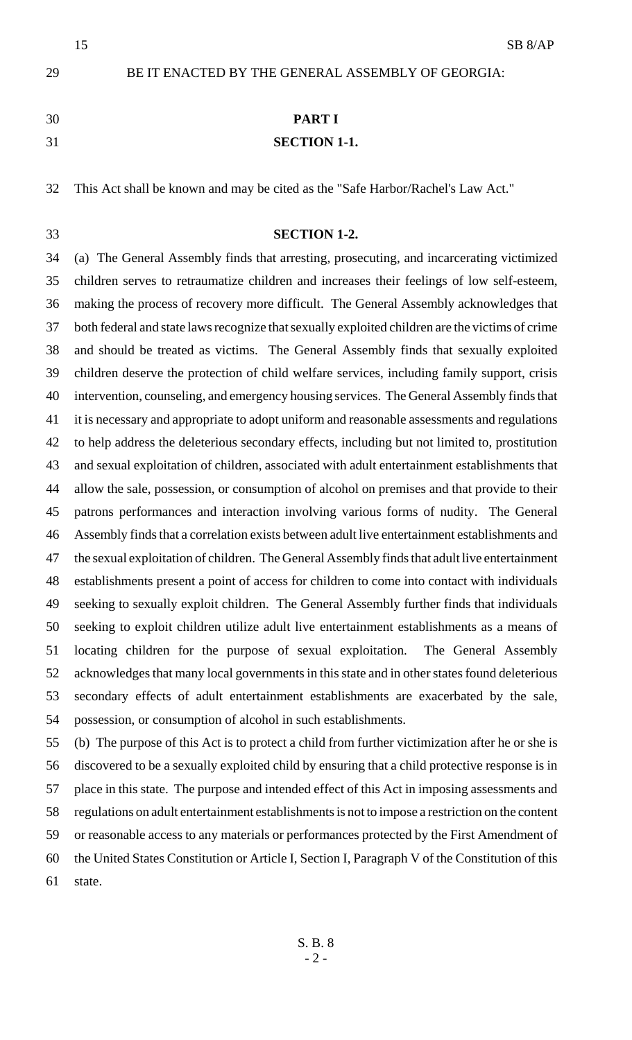BE IT ENACTED BY THE GENERAL ASSEMBLY OF GEORGIA:

**PART I**

### **SECTION 1-1.**

This Act shall be known and may be cited as the "Safe Harbor/Rachel's Law Act."

#### **SECTION 1-2.**

 (a) The General Assembly finds that arresting, prosecuting, and incarcerating victimized children serves to retraumatize children and increases their feelings of low self-esteem, making the process of recovery more difficult. The General Assembly acknowledges that both federal and state laws recognize that sexually exploited children are the victims of crime and should be treated as victims. The General Assembly finds that sexually exploited children deserve the protection of child welfare services, including family support, crisis intervention, counseling, and emergency housing services. The General Assembly finds that it is necessary and appropriate to adopt uniform and reasonable assessments and regulations to help address the deleterious secondary effects, including but not limited to, prostitution and sexual exploitation of children, associated with adult entertainment establishments that allow the sale, possession, or consumption of alcohol on premises and that provide to their patrons performances and interaction involving various forms of nudity. The General Assembly finds that a correlation exists between adult live entertainment establishments and the sexual exploitation of children. The General Assembly finds that adult live entertainment establishments present a point of access for children to come into contact with individuals seeking to sexually exploit children. The General Assembly further finds that individuals seeking to exploit children utilize adult live entertainment establishments as a means of locating children for the purpose of sexual exploitation. The General Assembly acknowledges that many local governments in this state and in other states found deleterious secondary effects of adult entertainment establishments are exacerbated by the sale, possession, or consumption of alcohol in such establishments.

 (b) The purpose of this Act is to protect a child from further victimization after he or she is discovered to be a sexually exploited child by ensuring that a child protective response is in place in this state. The purpose and intended effect of this Act in imposing assessments and regulations on adult entertainment establishments is not to impose a restriction on the content or reasonable access to any materials or performances protected by the First Amendment of the United States Constitution or Article I, Section I, Paragraph V of the Constitution of this state.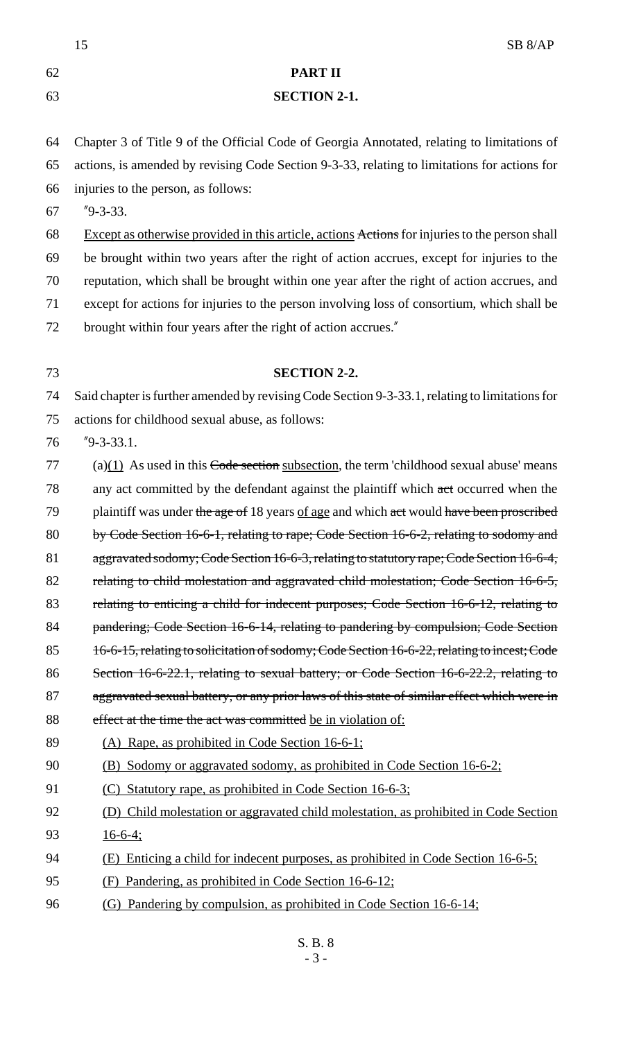|    | 15<br>SB 8/AP                                                                                  |
|----|------------------------------------------------------------------------------------------------|
| 62 | <b>PART II</b>                                                                                 |
| 63 | <b>SECTION 2-1.</b>                                                                            |
|    |                                                                                                |
| 64 | Chapter 3 of Title 9 of the Official Code of Georgia Annotated, relating to limitations of     |
| 65 | actions, is amended by revising Code Section 9-3-33, relating to limitations for actions for   |
| 66 | injuries to the person, as follows:                                                            |
| 67 | $"9-3-33.$                                                                                     |
| 68 | Except as otherwise provided in this article, actions Actions for injuries to the person shall |
| 69 | be brought within two years after the right of action accrues, except for injuries to the      |
| 70 | reputation, which shall be brought within one year after the right of action accrues, and      |
| 71 | except for actions for injuries to the person involving loss of consortium, which shall be     |
| 72 | brought within four years after the right of action accrues."                                  |
| 73 | <b>SECTION 2-2.</b>                                                                            |
| 74 | Said chapter is further amended by revising Code Section 9-3-33.1, relating to limitations for |
| 75 | actions for childhood sexual abuse, as follows:                                                |
| 76 | $"9-3-33.1.$                                                                                   |
| 77 | $(a)(1)$ As used in this Code section subsection, the term 'childhood sexual abuse' means      |
| 78 | any act committed by the defendant against the plaintiff which act occurred when the           |
| 79 | plaintiff was under the age of 18 years of age and which act would have been proscribed        |
| 80 | by Code Section 16-6-1, relating to rape; Code Section 16-6-2, relating to sodomy and          |
| 81 | aggravated sodomy; Code Section 16-6-3, relating to statutory rape; Code Section 16-6-4,       |
| 82 | relating to child molestation and aggravated child molestation; Code Section 16-6-5,           |
| 83 | relating to enticing a child for indecent purposes; Code Section 16-6-12, relating to          |
| 84 | pandering; Code Section 16-6-14, relating to pandering by compulsion; Code Section             |
| 85 | 16-6-15, relating to solicitation of sodomy; Code Section 16-6-22, relating to incest; Code    |
| 86 | Section 16-6-22.1, relating to sexual battery; or Code Section 16-6-22.2, relating to          |
| 87 | aggravated sexual battery, or any prior laws of this state of similar effect which were in     |
| 88 | effect at the time the act was committed be in violation of:                                   |
| 89 | (A) Rape, as prohibited in Code Section 16-6-1;                                                |
| 90 | <u>(B) Sodomy or aggravated sodomy, as prohibited in Code Section 16-6-2;</u>                  |
| 91 | (C) Statutory rape, as prohibited in Code Section 16-6-3;                                      |
| 92 | (D) Child molestation or aggravated child molestation, as prohibited in Code Section           |
| 93 | $16-6-4$ ;                                                                                     |
| 94 | (E) Enticing a child for indecent purposes, as prohibited in Code Section 16-6-5;              |
| 95 | Pandering, as prohibited in Code Section 16-6-12;<br>(F)                                       |
| 96 | (G) Pandering by compulsion, as prohibited in Code Section 16-6-14;                            |
|    |                                                                                                |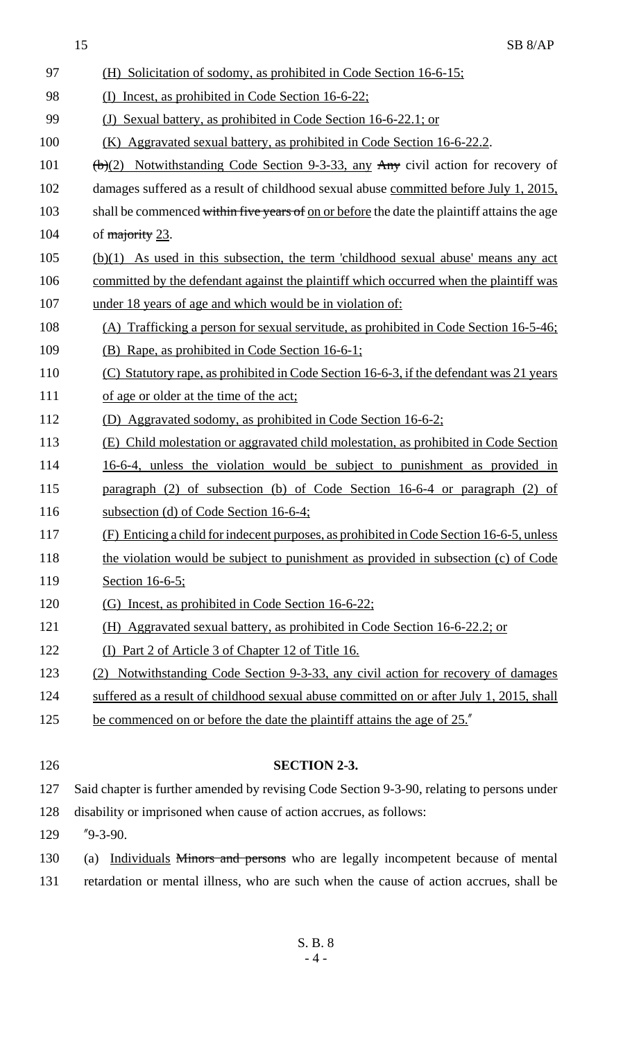|     | SB <sub>8/AP</sub><br>15                                                                    |
|-----|---------------------------------------------------------------------------------------------|
| 97  | (H) Solicitation of sodomy, as prohibited in Code Section 16-6-15;                          |
| 98  | (I) Incest, as prohibited in Code Section 16-6-22;                                          |
| 99  | (J) Sexual battery, as prohibited in Code Section 16-6-22.1; or                             |
| 100 | Aggravated sexual battery, as prohibited in Code Section 16-6-22.2.<br>(K)                  |
| 101 | $\frac{1}{2}$ Notwithstanding Code Section 9-3-33, any Any civil action for recovery of     |
| 102 | damages suffered as a result of childhood sexual abuse committed before July 1, 2015,       |
| 103 | shall be commenced within five years of on or before the date the plaintiff attains the age |
| 104 | of majority 23.                                                                             |
| 105 | $(b)(1)$ As used in this subsection, the term 'childhood sexual abuse' means any act        |
| 106 | committed by the defendant against the plaintiff which occurred when the plaintiff was      |
| 107 | under 18 years of age and which would be in violation of:                                   |
| 108 | (A) Trafficking a person for sexual servitude, as prohibited in Code Section 16-5-46;       |
| 109 | (B) Rape, as prohibited in Code Section 16-6-1;                                             |
| 110 | (C) Statutory rape, as prohibited in Code Section 16-6-3, if the defendant was 21 years     |
| 111 | of age or older at the time of the act;                                                     |
| 112 | (D) Aggravated sodomy, as prohibited in Code Section 16-6-2;                                |
| 113 | (E) Child molestation or aggravated child molestation, as prohibited in Code Section        |
| 114 | 16-6-4, unless the violation would be subject to punishment as provided in                  |
| 115 | paragraph (2) of subsection (b) of Code Section 16-6-4 or paragraph (2) of                  |
| 116 | subsection (d) of Code Section 16-6-4;                                                      |
| 117 | (F) Enticing a child for indecent purposes, as prohibited in Code Section 16-6-5, unless    |
| 118 | the violation would be subject to punishment as provided in subsection (c) of Code          |
| 119 | Section 16-6-5;                                                                             |
| 120 | (G) Incest, as prohibited in Code Section 16-6-22;                                          |
| 121 | (H) Aggravated sexual battery, as prohibited in Code Section 16-6-22.2; or                  |
| 122 | (I) Part 2 of Article 3 of Chapter 12 of Title 16.                                          |
| 123 | <u>Notwithstanding Code Section 9-3-33, any civil action for recovery of damages</u>        |
| 124 | suffered as a result of childhood sexual abuse committed on or after July 1, 2015, shall    |
| 125 | be commenced on or before the date the plaintiff attains the age of 25."                    |
|     |                                                                                             |
| 126 | <b>SECTION 2-3.</b>                                                                         |
| 127 | Said chapter is further amended by revising Code Section 9-3-90, relating to persons under  |
| 128 | disability or imprisoned when cause of action accrues, as follows:                          |
| 129 | $"9-3-90.$                                                                                  |

130 (a) Individuals Minors and persons who are legally incompetent because of mental 131 retardation or mental illness, who are such when the cause of action accrues, shall be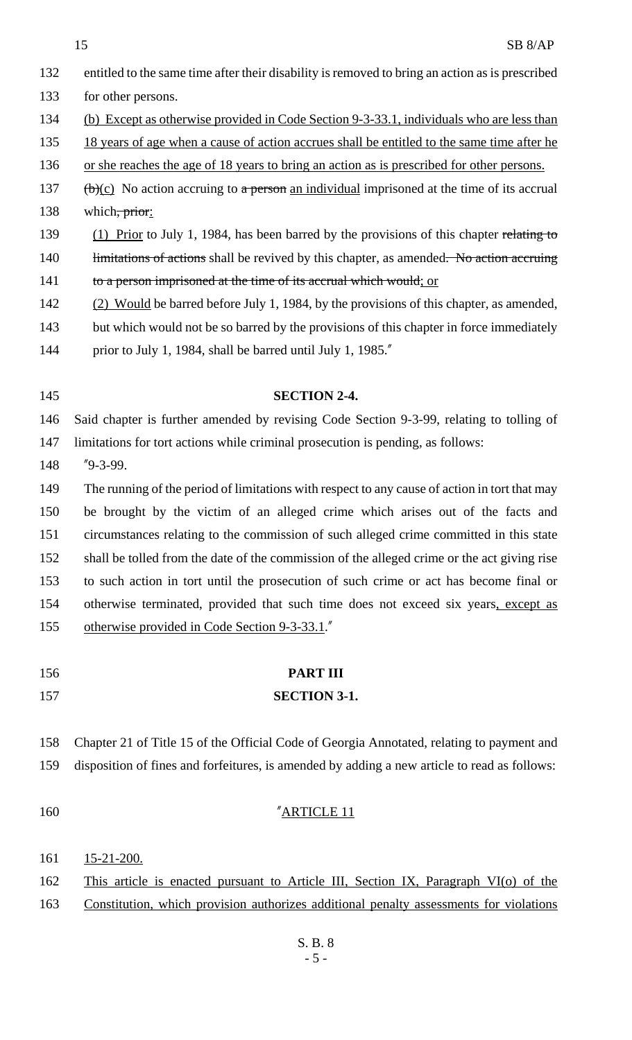| 132 | entitled to the same time after their disability is removed to bring an action as is prescribed        |
|-----|--------------------------------------------------------------------------------------------------------|
| 133 | for other persons.                                                                                     |
| 134 | (b) Except as otherwise provided in Code Section 9-3-33.1, individuals who are less than               |
| 135 | 18 years of age when a cause of action accrues shall be entitled to the same time after he             |
| 136 | or she reaches the age of 18 years to bring an action as is prescribed for other persons.              |
| 137 | $\frac{f(b)(c)}{c}$ No action accruing to a person an individual imprisoned at the time of its accrual |
| 138 | which, prior:                                                                                          |
| 139 | (1) Prior to July 1, 1984, has been barred by the provisions of this chapter relating to               |
| 140 | limitations of actions shall be revived by this chapter, as amended. No action accruing                |
| 141 | to a person imprisoned at the time of its accrual which would; or                                      |
| 142 | (2) Would be barred before July 1, 1984, by the provisions of this chapter, as amended,                |
| 143 | but which would not be so barred by the provisions of this chapter in force immediately                |
| 144 | prior to July 1, 1984, shall be barred until July 1, 1985."                                            |
|     |                                                                                                        |
| 145 | <b>SECTION 2-4.</b>                                                                                    |
| 146 | Said chapter is further amended by revising Code Section 9-3-99, relating to tolling of                |
| 147 | limitations for tort actions while criminal prosecution is pending, as follows:                        |
| 148 | $"9-3-99.$                                                                                             |
| 149 | The running of the period of limitations with respect to any cause of action in tort that may          |
| 150 | be brought by the victim of an alleged crime which arises out of the facts and                         |
| 151 | circumstances relating to the commission of such alleged crime committed in this state                 |
| 152 | shall be tolled from the date of the commission of the alleged crime or the act giving rise            |
| 153 | to such action in tort until the prosecution of such crime or act has become final or                  |
| 154 | otherwise terminated, provided that such time does not exceed six years, except as                     |
| 155 | otherwise provided in Code Section 9-3-33.1."                                                          |
|     |                                                                                                        |
| 156 | <b>PART III</b>                                                                                        |
| 157 | <b>SECTION 3-1.</b>                                                                                    |
|     |                                                                                                        |
| 158 | Chapter 21 of Title 15 of the Official Code of Georgia Annotated, relating to payment and              |
| 159 | disposition of fines and forfeitures, is amended by adding a new article to read as follows:           |
|     |                                                                                                        |
| 160 | "ARTICLE 11                                                                                            |
|     |                                                                                                        |
| 161 | $15 - 21 - 200$ .                                                                                      |

162 This article is enacted pursuant to Article III, Section IX, Paragraph VI(o) of the

163 Constitution, which provision authorizes additional penalty assessments for violations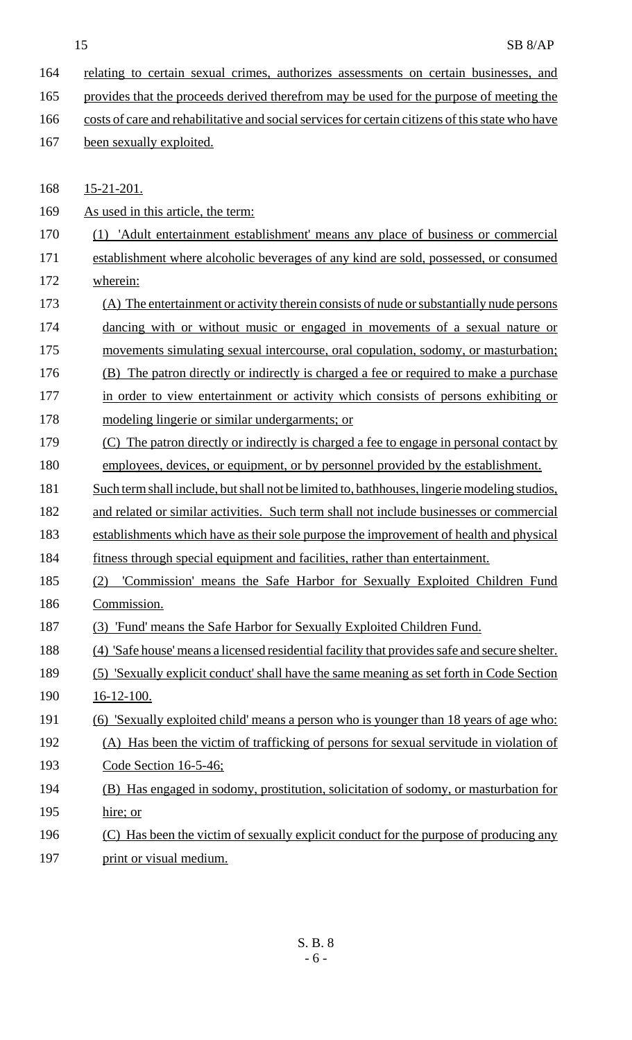- 164 relating to certain sexual crimes, authorizes assessments on certain businesses, and
- 165 provides that the proceeds derived therefrom may be used for the purpose of meeting the
- 166 costs of care and rehabilitative and social services for certain citizens of this state who have
- 167 been sexually exploited.

168 15-21-201.

169 As used in this article, the term:

- 170 (1) 'Adult entertainment establishment' means any place of business or commercial
- 171 establishment where alcoholic beverages of any kind are sold, possessed, or consumed 172 wherein:
- 173 (A) The entertainment or activity therein consists of nude or substantially nude persons 174 dancing with or without music or engaged in movements of a sexual nature or 175 movements simulating sexual intercourse, oral copulation, sodomy, or masturbation;
- 176 (B) The patron directly or indirectly is charged a fee or required to make a purchase
- 177 in order to view entertainment or activity which consists of persons exhibiting or
- 178 modeling lingerie or similar undergarments; or
- 179 (C) The patron directly or indirectly is charged a fee to engage in personal contact by
- 180 employees, devices, or equipment, or by personnel provided by the establishment.
- 181 Such term shall include, but shall not be limited to, bathhouses, lingerie modeling studios,
- 182 and related or similar activities. Such term shall not include businesses or commercial 183 establishments which have as their sole purpose the improvement of health and physical
- 184 fitness through special equipment and facilities, rather than entertainment.
- 185 (2) 'Commission' means the Safe Harbor for Sexually Exploited Children Fund 186 Commission.
- 187 (3) 'Fund' means the Safe Harbor for Sexually Exploited Children Fund.
- 188 (4) 'Safe house' means a licensed residential facility that provides safe and secure shelter.
- 189 (5) 'Sexually explicit conduct' shall have the same meaning as set forth in Code Section
- 190 16-12-100.
- 191 (6) 'Sexually exploited child' means a person who is younger than 18 years of age who:
- 192 (A) Has been the victim of trafficking of persons for sexual servitude in violation of 193 Code Section 16-5-46;
- 194 (B) Has engaged in sodomy, prostitution, solicitation of sodomy, or masturbation for 195 hire; or
- 196 (C) Has been the victim of sexually explicit conduct for the purpose of producing any
- 197 print or visual medium.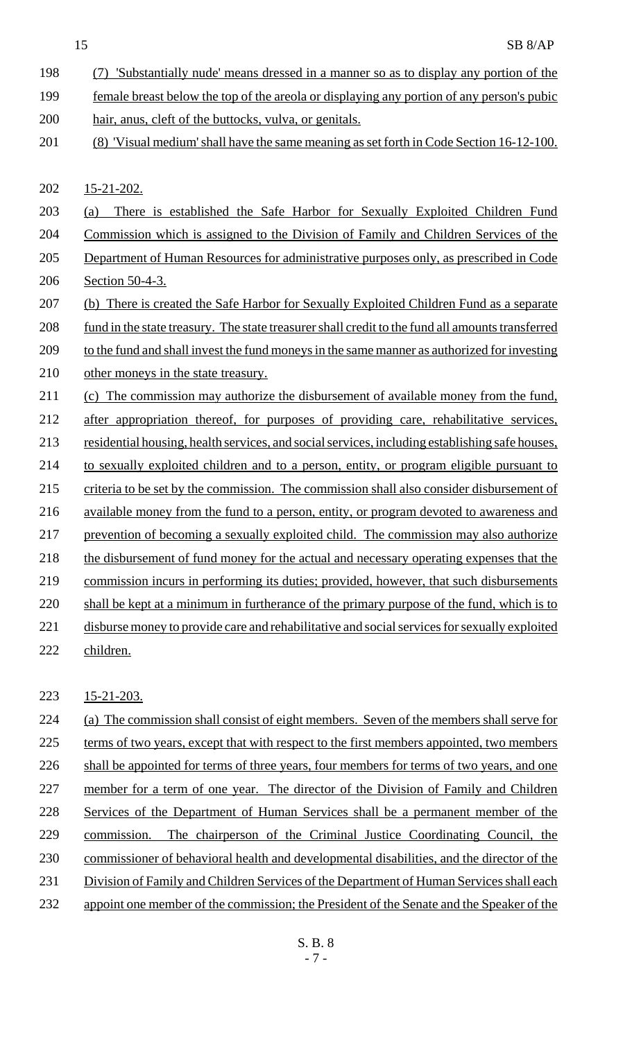- 198 (7) 'Substantially nude' means dressed in a manner so as to display any portion of the 199 female breast below the top of the areola or displaying any portion of any person's pubic
- 200 hair, anus, cleft of the buttocks, vulva, or genitals.
- 201 (8) 'Visual medium' shall have the same meaning as set forth in Code Section 16-12-100.

202 15-21-202.

- 203 (a) There is established the Safe Harbor for Sexually Exploited Children Fund
- 204 Commission which is assigned to the Division of Family and Children Services of the
- 205 Department of Human Resources for administrative purposes only, as prescribed in Code 206 Section 50-4-3.
- 207 (b) There is created the Safe Harbor for Sexually Exploited Children Fund as a separate 208 fund in the state treasury. The state treasurer shall credit to the fund all amounts transferred
- 209 to the fund and shall invest the fund moneys in the same manner as authorized for investing
- 210 other moneys in the state treasury.
- 211 (c) The commission may authorize the disbursement of available money from the fund,
- 212 after appropriation thereof, for purposes of providing care, rehabilitative services, 213 residential housing, health services, and social services, including establishing safe houses, 214 to sexually exploited children and to a person, entity, or program eligible pursuant to 215 criteria to be set by the commission. The commission shall also consider disbursement of 216 available money from the fund to a person, entity, or program devoted to awareness and 217 prevention of becoming a sexually exploited child. The commission may also authorize
- 218 the disbursement of fund money for the actual and necessary operating expenses that the
- 219 commission incurs in performing its duties; provided, however, that such disbursements
- 220 shall be kept at a minimum in furtherance of the primary purpose of the fund, which is to
- 221 disburse money to provide care and rehabilitative and social services for sexually exploited
- 222 children.

# 223 15-21-203.

224 (a) The commission shall consist of eight members. Seven of the members shall serve for 225 terms of two years, except that with respect to the first members appointed, two members 226 shall be appointed for terms of three years, four members for terms of two years, and one 227 member for a term of one year. The director of the Division of Family and Children 228 Services of the Department of Human Services shall be a permanent member of the 229 commission. The chairperson of the Criminal Justice Coordinating Council, the 230 commissioner of behavioral health and developmental disabilities, and the director of the 231 Division of Family and Children Services of the Department of Human Services shall each 232 appoint one member of the commission; the President of the Senate and the Speaker of the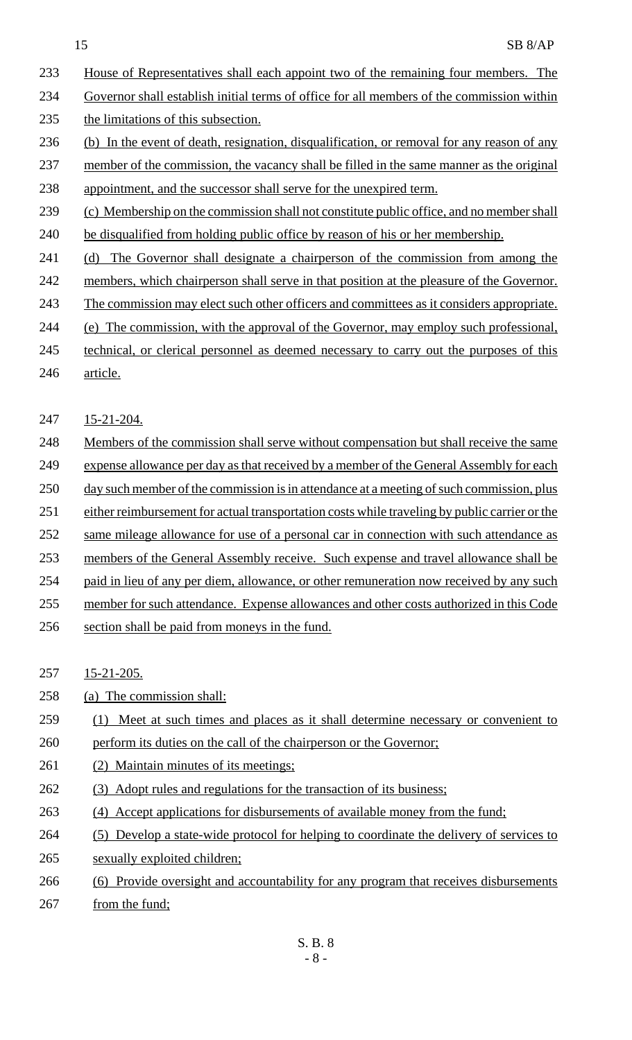- 233 House of Representatives shall each appoint two of the remaining four members. The
- 234 Governor shall establish initial terms of office for all members of the commission within
- 235 the limitations of this subsection.
- 236 (b) In the event of death, resignation, disqualification, or removal for any reason of any
- 237 member of the commission, the vacancy shall be filled in the same manner as the original
- 238 appointment, and the successor shall serve for the unexpired term.
- 239 (c) Membership on the commission shall not constitute public office, and no member shall
- 240 be disqualified from holding public office by reason of his or her membership.
- 241 (d) The Governor shall designate a chairperson of the commission from among the
- 242 members, which chairperson shall serve in that position at the pleasure of the Governor.
- 243 The commission may elect such other officers and committees as it considers appropriate.
- 244 (e) The commission, with the approval of the Governor, may employ such professional,
- 245 technical, or clerical personnel as deemed necessary to carry out the purposes of this
- 246 article.
- 247 15-21-204.
- 248 Members of the commission shall serve without compensation but shall receive the same
- 249 expense allowance per day as that received by a member of the General Assembly for each
- 250 day such member of the commission is in attendance at a meeting of such commission, plus
- 251 either reimbursement for actual transportation costs while traveling by public carrier or the
- 252 same mileage allowance for use of a personal car in connection with such attendance as
- 253 members of the General Assembly receive. Such expense and travel allowance shall be
- 254 paid in lieu of any per diem, allowance, or other remuneration now received by any such
- 255 member for such attendance. Expense allowances and other costs authorized in this Code
- 256 section shall be paid from moneys in the fund.
- 257 15-21-205.
- 258 (a) The commission shall:
- 259 (1) Meet at such times and places as it shall determine necessary or convenient to 260 perform its duties on the call of the chairperson or the Governor;
- 261 (2) Maintain minutes of its meetings;
- 262 (3) Adopt rules and regulations for the transaction of its business;
- 263 (4) Accept applications for disbursements of available money from the fund;
- 264 (5) Develop a state-wide protocol for helping to coordinate the delivery of services to 265 sexually exploited children;
- 266 (6) Provide oversight and accountability for any program that receives disbursements
- 267 from the fund;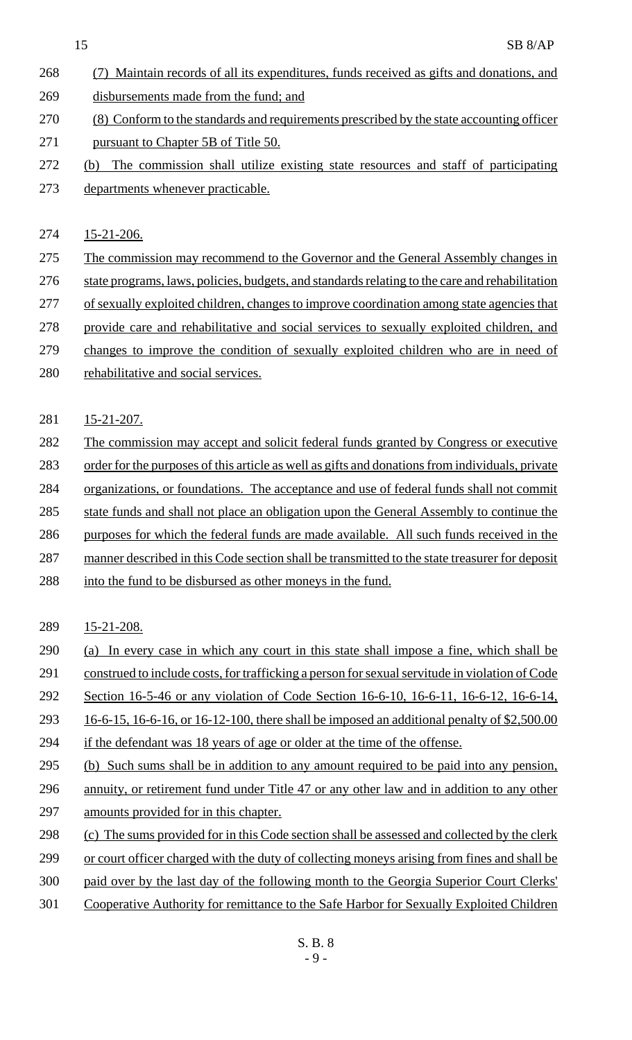(7) Maintain records of all its expenditures, funds received as gifts and donations, and disbursements made from the fund; and (8) Conform to the standards and requirements prescribed by the state accounting officer 271 pursuant to Chapter 5B of Title 50. (b) The commission shall utilize existing state resources and staff of participating departments whenever practicable.

15-21-206.

- The commission may recommend to the Governor and the General Assembly changes in 276 state programs, laws, policies, budgets, and standards relating to the care and rehabilitation of sexually exploited children, changes to improve coordination among state agencies that provide care and rehabilitative and social services to sexually exploited children, and changes to improve the condition of sexually exploited children who are in need of
- rehabilitative and social services.
- 281 15-21-207.
- 282 The commission may accept and solicit federal funds granted by Congress or executive
- 283 order for the purposes of this article as well as gifts and donations from individuals, private
- organizations, or foundations. The acceptance and use of federal funds shall not commit
- state funds and shall not place an obligation upon the General Assembly to continue the
- purposes for which the federal funds are made available. All such funds received in the
- 287 manner described in this Code section shall be transmitted to the state treasurer for deposit
- 288 into the fund to be disbursed as other moneys in the fund.
- 15-21-208.
- (a) In every case in which any court in this state shall impose a fine, which shall be
- construed to include costs, for trafficking a person for sexual servitude in violation of Code
- Section 16-5-46 or any violation of Code Section 16-6-10, 16-6-11, 16-6-12, 16-6-14,
- 16-6-15, 16-6-16, or 16-12-100, there shall be imposed an additional penalty of \$2,500.00
- if the defendant was 18 years of age or older at the time of the offense.
- (b) Such sums shall be in addition to any amount required to be paid into any pension,
- 296 annuity, or retirement fund under Title 47 or any other law and in addition to any other amounts provided for in this chapter.
- (c) The sums provided for in this Code section shall be assessed and collected by the clerk
- or court officer charged with the duty of collecting moneys arising from fines and shall be
- paid over by the last day of the following month to the Georgia Superior Court Clerks'
- Cooperative Authority for remittance to the Safe Harbor for Sexually Exploited Children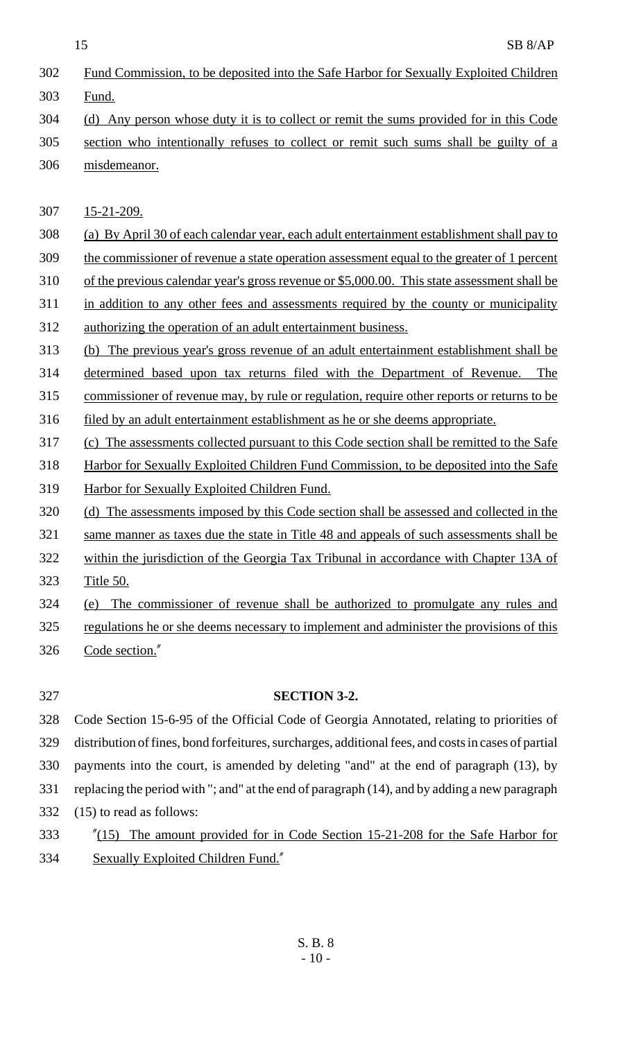- Fund Commission, to be deposited into the Safe Harbor for Sexually Exploited Children
- Fund.
- (d) Any person whose duty it is to collect or remit the sums provided for in this Code
- section who intentionally refuses to collect or remit such sums shall be guilty of a misdemeanor.

15-21-209.

- (a) By April 30 of each calendar year, each adult entertainment establishment shall pay to
- the commissioner of revenue a state operation assessment equal to the greater of 1 percent
- of the previous calendar year's gross revenue or \$5,000.00. This state assessment shall be
- 311 in addition to any other fees and assessments required by the county or municipality
- authorizing the operation of an adult entertainment business.
- (b) The previous year's gross revenue of an adult entertainment establishment shall be
- determined based upon tax returns filed with the Department of Revenue. The
- commissioner of revenue may, by rule or regulation, require other reports or returns to be
- 316 filed by an adult entertainment establishment as he or she deems appropriate.
- 317 (c) The assessments collected pursuant to this Code section shall be remitted to the Safe
- Harbor for Sexually Exploited Children Fund Commission, to be deposited into the Safe
- Harbor for Sexually Exploited Children Fund.
- (d) The assessments imposed by this Code section shall be assessed and collected in the
- same manner as taxes due the state in Title 48 and appeals of such assessments shall be
- 322 within the jurisdiction of the Georgia Tax Tribunal in accordance with Chapter 13A of
- Title 50.
- (e) The commissioner of revenue shall be authorized to promulgate any rules and
- regulations he or she deems necessary to implement and administer the provisions of this Code section."

# **SECTION 3-2.**

 Code Section 15-6-95 of the Official Code of Georgia Annotated, relating to priorities of distribution of fines, bond forfeitures, surcharges, additional fees, and costs in cases of partial payments into the court, is amended by deleting "and" at the end of paragraph (13), by replacing the period with "; and" at the end of paragraph (14), and by adding a new paragraph (15) to read as follows:

 "(15) The amount provided for in Code Section 15-21-208 for the Safe Harbor for Sexually Exploited Children Fund."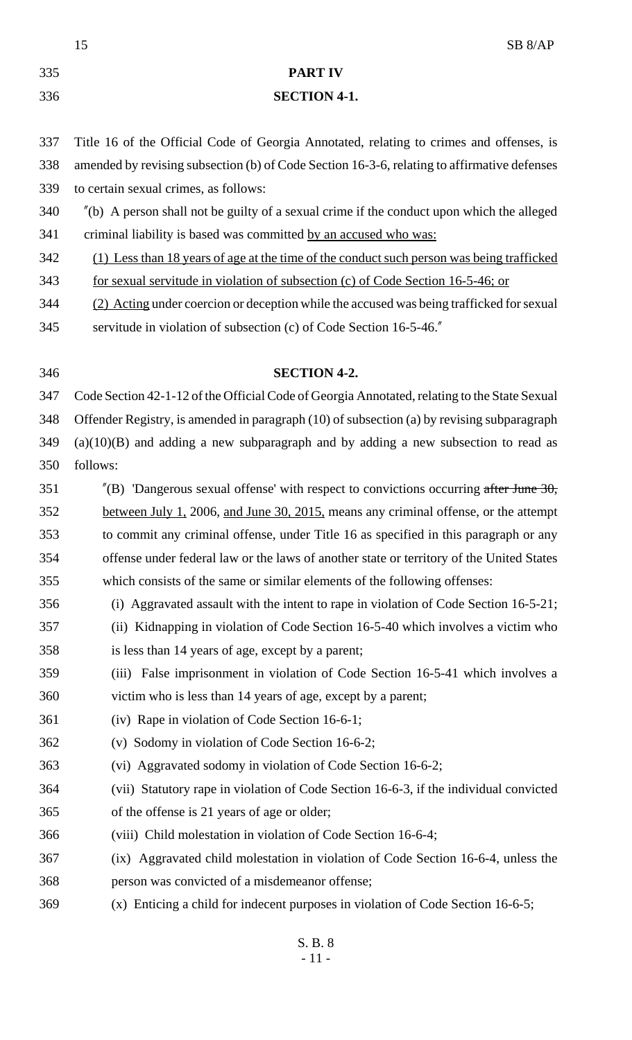|     | SB <sub>8/AP</sub><br>15                                                                              |
|-----|-------------------------------------------------------------------------------------------------------|
| 335 | <b>PART IV</b>                                                                                        |
| 336 | <b>SECTION 4-1.</b>                                                                                   |
| 337 | Title 16 of the Official Code of Georgia Annotated, relating to crimes and offenses, is               |
| 338 | amended by revising subsection (b) of Code Section 16-3-6, relating to affirmative defenses           |
| 339 | to certain sexual crimes, as follows:                                                                 |
| 340 | $\degree$ (b) A person shall not be guilty of a sexual crime if the conduct upon which the alleged    |
| 341 | criminal liability is based was committed by an accused who was:                                      |
| 342 | (1) Less than 18 years of age at the time of the conduct such person was being trafficked             |
| 343 | for sexual servitude in violation of subsection (c) of Code Section 16-5-46; or                       |
| 344 | (2) Acting under coercion or deception while the accused was being trafficked for sexual              |
| 345 | servitude in violation of subsection (c) of Code Section 16-5-46.                                     |
| 346 | <b>SECTION 4-2.</b>                                                                                   |
| 347 | Code Section 42-1-12 of the Official Code of Georgia Annotated, relating to the State Sexual          |
| 348 | Offender Registry, is amended in paragraph (10) of subsection (a) by revising subparagraph            |
| 349 | $(a)(10)(B)$ and adding a new subparagraph and by adding a new subsection to read as                  |
| 350 | follows:                                                                                              |
| 351 | $^{\prime\prime}$ (B) 'Dangerous sexual offense' with respect to convictions occurring after June 30, |
| 352 | between July 1, 2006, and June 30, 2015, means any criminal offense, or the attempt                   |
| 353 | to commit any criminal offense, under Title 16 as specified in this paragraph or any                  |
| 354 | offense under federal law or the laws of another state or territory of the United States              |
| 355 | which consists of the same or similar elements of the following offenses:                             |
| 356 | (i) Aggravated assault with the intent to rape in violation of Code Section 16-5-21;                  |
| 357 | (ii) Kidnapping in violation of Code Section 16-5-40 which involves a victim who                      |
| 358 | is less than 14 years of age, except by a parent;                                                     |
| 359 | (iii) False imprisonment in violation of Code Section 16-5-41 which involves a                        |
| 360 | victim who is less than 14 years of age, except by a parent;                                          |
| 361 | (iv) Rape in violation of Code Section 16-6-1;                                                        |
| 362 | (v) Sodomy in violation of Code Section 16-6-2;                                                       |
| 363 | (vi) Aggravated sodomy in violation of Code Section 16-6-2;                                           |
| 364 | (vii) Statutory rape in violation of Code Section 16-6-3, if the individual convicted                 |
| 365 | of the offense is 21 years of age or older;                                                           |
| 366 | (viii) Child molestation in violation of Code Section 16-6-4;                                         |
| 367 | (ix) Aggravated child molestation in violation of Code Section 16-6-4, unless the                     |
| 368 | person was convicted of a misdemeanor offense;                                                        |
| 369 | (x) Enticing a child for indecent purposes in violation of Code Section 16-6-5;                       |
|     | S. B. 8                                                                                               |

- 11 -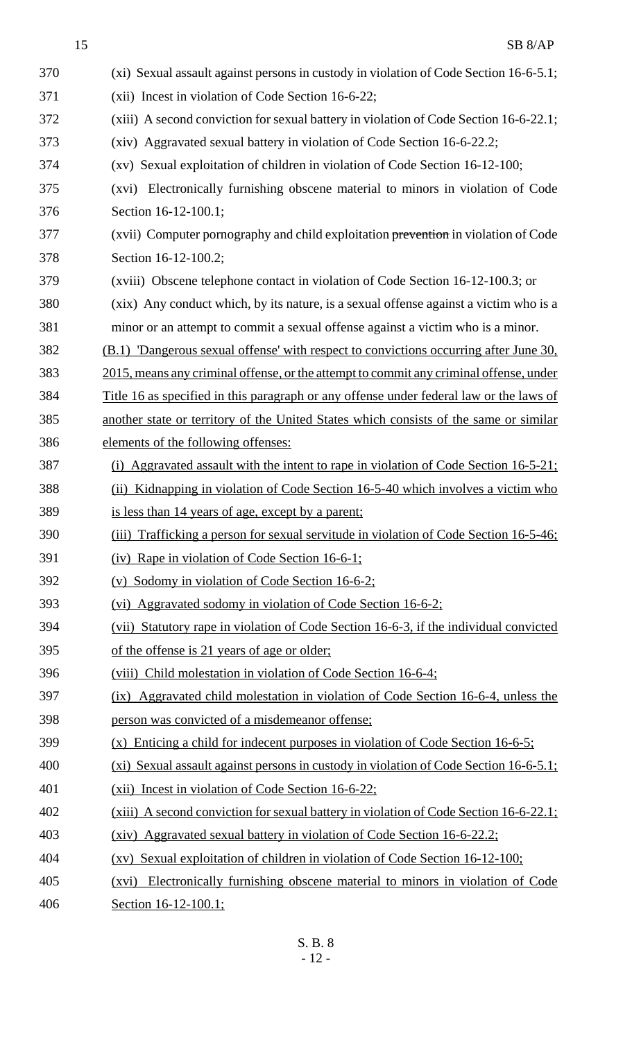SB 8/AP (xi) Sexual assault against persons in custody in violation of Code Section 16-6-5.1; (xii) Incest in violation of Code Section 16-6-22; (xiii) A second conviction for sexual battery in violation of Code Section 16-6-22.1; (xiv) Aggravated sexual battery in violation of Code Section 16-6-22.2; (xv) Sexual exploitation of children in violation of Code Section 16-12-100; (xvi) Electronically furnishing obscene material to minors in violation of Code Section 16-12-100.1; (xvii) Computer pornography and child exploitation prevention in violation of Code Section 16-12-100.2; (xviii) Obscene telephone contact in violation of Code Section 16-12-100.3; or (xix) Any conduct which, by its nature, is a sexual offense against a victim who is a minor or an attempt to commit a sexual offense against a victim who is a minor. (B.1) 'Dangerous sexual offense' with respect to convictions occurring after June 30, 2015, means any criminal offense, or the attempt to commit any criminal offense, under Title 16 as specified in this paragraph or any offense under federal law or the laws of another state or territory of the United States which consists of the same or similar elements of the following offenses: (i) Aggravated assault with the intent to rape in violation of Code Section 16-5-21; (ii) Kidnapping in violation of Code Section 16-5-40 which involves a victim who is less than 14 years of age, except by a parent; 390 (iii) Trafficking a person for sexual servitude in violation of Code Section 16-5-46; (iv) Rape in violation of Code Section 16-6-1; (v) Sodomy in violation of Code Section 16-6-2; (vi) Aggravated sodomy in violation of Code Section 16-6-2; (vii) Statutory rape in violation of Code Section 16-6-3, if the individual convicted of the offense is 21 years of age or older; (viii) Child molestation in violation of Code Section 16-6-4; (ix) Aggravated child molestation in violation of Code Section 16-6-4, unless the person was convicted of a misdemeanor offense; (x) Enticing a child for indecent purposes in violation of Code Section 16-6-5; (xi) Sexual assault against persons in custody in violation of Code Section 16-6-5.1; 401 (xii) Incest in violation of Code Section 16-6-22; (xiii) A second conviction for sexual battery in violation of Code Section 16-6-22.1; (xiv) Aggravated sexual battery in violation of Code Section 16-6-22.2; (xv) Sexual exploitation of children in violation of Code Section 16-12-100; (xvi) Electronically furnishing obscene material to minors in violation of Code Section 16-12-100.1;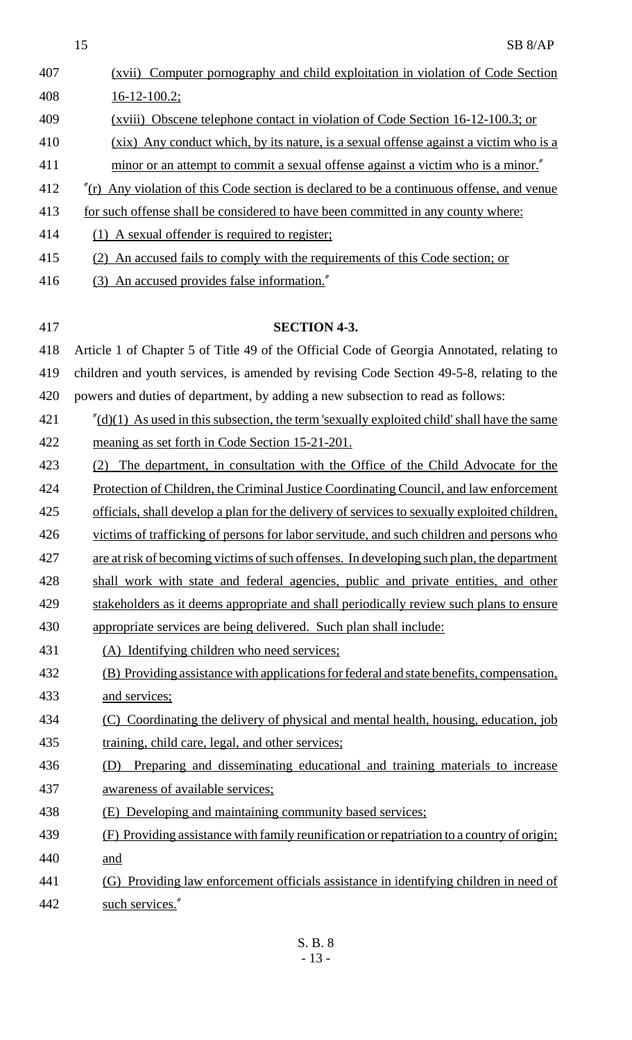|     | 15<br>SB <sub>8/AP</sub>                                                                                 |
|-----|----------------------------------------------------------------------------------------------------------|
| 407 | (xvii) Computer pornography and child exploitation in violation of Code Section                          |
| 408 | $16 - 12 - 100.2$ ;                                                                                      |
| 409 | (xviii) Obscene telephone contact in violation of Code Section 16-12-100.3; or                           |
| 410 | (xix) Any conduct which, by its nature, is a sexual offense against a victim who is a                    |
| 411 | minor or an attempt to commit a sexual offense against a victim who is a minor."                         |
| 412 | $\pi$ (r) Any violation of this Code section is declared to be a continuous offense, and venue           |
| 413 | for such offense shall be considered to have been committed in any county where:                         |
| 414 | (1) A sexual offender is required to register;                                                           |
| 415 | (2) An accused fails to comply with the requirements of this Code section; or                            |
| 416 | (3) An accused provides false information."                                                              |
|     |                                                                                                          |
| 417 | <b>SECTION 4-3.</b>                                                                                      |
| 418 | Article 1 of Chapter 5 of Title 49 of the Official Code of Georgia Annotated, relating to                |
| 419 | children and youth services, is amended by revising Code Section 49-5-8, relating to the                 |
| 420 | powers and duties of department, by adding a new subsection to read as follows:                          |
| 421 | $\frac{d}{d}$ (d)(1) As used in this subsection, the term 'sexually exploited child' shall have the same |
| 422 | meaning as set forth in Code Section 15-21-201.                                                          |
| 423 | The department, in consultation with the Office of the Child Advocate for the<br>(2)                     |
| 424 | Protection of Children, the Criminal Justice Coordinating Council, and law enforcement                   |
| 425 | officials, shall develop a plan for the delivery of services to sexually exploited children,             |
| 426 | victims of trafficking of persons for labor servitude, and such children and persons who                 |
| 427 | are at risk of becoming victims of such offenses. In developing such plan, the department                |
| 428 | shall work with state and federal agencies, public and private entities, and other                       |
| 429 | stakeholders as it deems appropriate and shall periodically review such plans to ensure                  |
| 430 | appropriate services are being delivered. Such plan shall include:                                       |
| 431 | (A) Identifying children who need services;                                                              |
| 432 | (B) Providing assistance with applications for federal and state benefits, compensation,                 |
| 433 | and services;                                                                                            |
| 434 | (C) Coordinating the delivery of physical and mental health, housing, education, job                     |
| 435 | training, child care, legal, and other services;                                                         |
| 436 | Preparing and disseminating educational and training materials to increase                               |
| 437 | awareness of available services;                                                                         |
| 438 | (E) Developing and maintaining community based services;                                                 |
| 439 | (F) Providing assistance with family reunification or repatriation to a country of origin;               |
| 440 | and                                                                                                      |
| 441 | (G) Providing law enforcement officials assistance in identifying children in need of                    |
| 442 | such services."                                                                                          |
|     | c no                                                                                                     |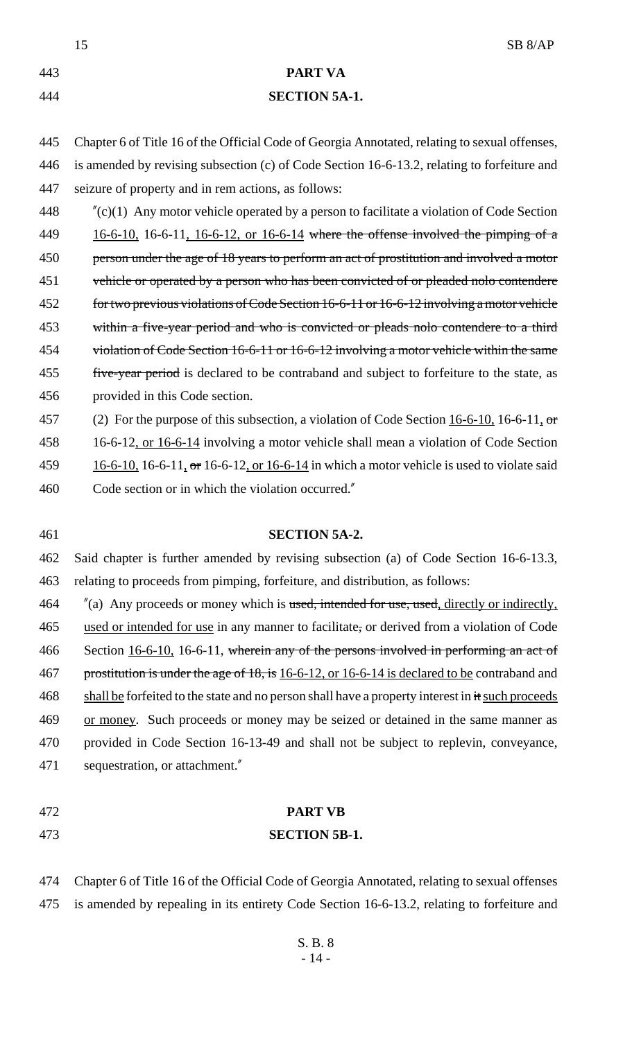|     | SB <sub>8/AP</sub><br>15                                                                          |
|-----|---------------------------------------------------------------------------------------------------|
| 443 | <b>PART VA</b>                                                                                    |
| 444 | <b>SECTION 5A-1.</b>                                                                              |
| 445 | Chapter 6 of Title 16 of the Official Code of Georgia Annotated, relating to sexual offenses,     |
| 446 | is amended by revising subsection (c) of Code Section 16-6-13.2, relating to forfeiture and       |
| 447 | seizure of property and in rem actions, as follows:                                               |
| 448 | $\pi$ (c)(1) Any motor vehicle operated by a person to facilitate a violation of Code Section     |
| 449 | $16-6-10$ , 16-6-11, 16-6-12, or 16-6-14 where the offense involved the pimping of a              |
| 450 | person under the age of 18 years to perform an act of prostitution and involved a motor           |
| 451 | vehicle or operated by a person who has been convicted of or pleaded nolo contendere              |
| 452 | for two previous violations of Code Section 16-6-11 or 16-6-12 involving a motor vehicle          |
| 453 | within a five-year period and who is convicted or pleads nolo contendere to a third               |
| 454 | violation of Code Section 16-6-11 or 16-6-12 involving a motor vehicle within the same            |
| 455 | five-year period is declared to be contraband and subject to forfeiture to the state, as          |
| 456 | provided in this Code section.                                                                    |
| 457 | (2) For the purpose of this subsection, a violation of Code Section $16-6-10$ , 16-6-11, or       |
| 458 | 16-6-12, or 16-6-14 involving a motor vehicle shall mean a violation of Code Section              |
| 459 | $16-6-10$ , 16-6-11, or 16-6-12, or 16-6-14 in which a motor vehicle is used to violate said      |
| 460 | Code section or in which the violation occurred."                                                 |
| 461 | <b>SECTION 5A-2.</b>                                                                              |
| 462 | Said chapter is further amended by revising subsection (a) of Code Section 16-6-13.3,             |
| 463 | relating to proceeds from pimping, forfeiture, and distribution, as follows:                      |
| 464 | $\alpha$ (a) Any proceeds or money which is used, intended for use, used, directly or indirectly, |
| 465 | used or intended for use in any manner to facilitate, or derived from a violation of Code         |
| 466 | Section 16-6-10, 16-6-11, wherein any of the persons involved in performing an act of             |
| 467 | prostitution is under the age of 18, is 16-6-12, or 16-6-14 is declared to be contraband and      |
| 468 | shall be forfeited to the state and no person shall have a property interest in it such proceeds  |
| 469 | or money. Such proceeds or money may be seized or detained in the same manner as                  |
| 470 | provided in Code Section 16-13-49 and shall not be subject to replevin, conveyance,               |
| 471 | sequestration, or attachment."                                                                    |
| 472 | <b>PART VB</b>                                                                                    |
| 473 | <b>SECTION 5B-1.</b>                                                                              |

 Chapter 6 of Title 16 of the Official Code of Georgia Annotated, relating to sexual offenses is amended by repealing in its entirety Code Section 16-6-13.2, relating to forfeiture and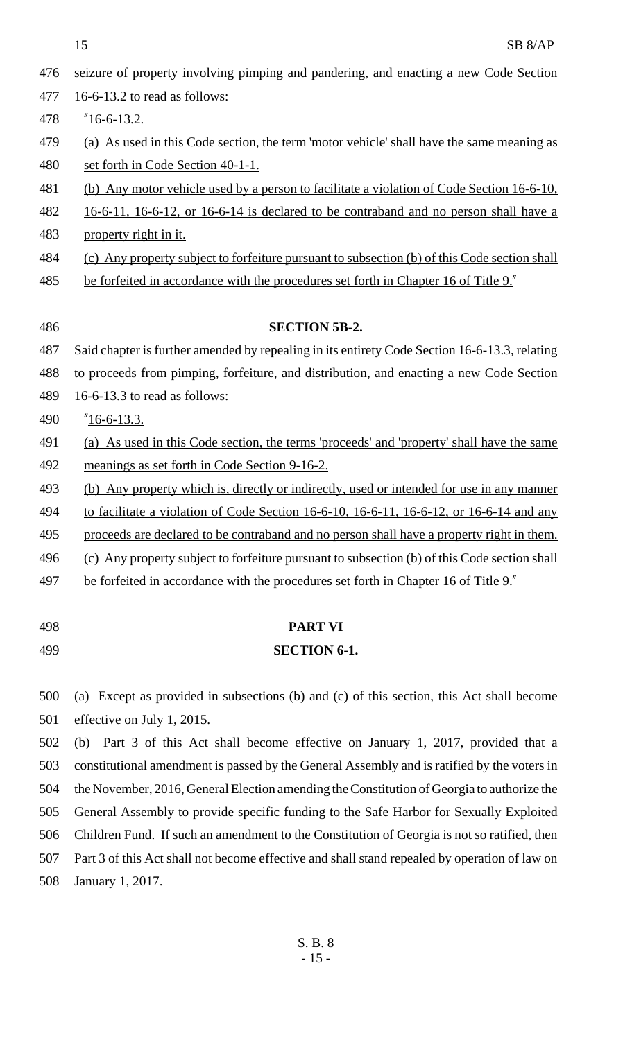$15$  SB 8/AP

| 476 | seizure of property involving pimping and pandering, and enacting a new Code Section          |
|-----|-----------------------------------------------------------------------------------------------|
| 477 | 16-6-13.2 to read as follows:                                                                 |
| 478 | $"16-6-13.2.$                                                                                 |
| 479 | (a) As used in this Code section, the term 'motor vehicle' shall have the same meaning as     |
| 480 | set forth in Code Section 40-1-1.                                                             |
| 481 | (b) Any motor vehicle used by a person to facilitate a violation of Code Section 16-6-10,     |
| 482 | 16-6-11, 16-6-12, or 16-6-14 is declared to be contraband and no person shall have a          |
| 483 | property right in it.                                                                         |
| 484 | (c) Any property subject to forfeiture pursuant to subsection (b) of this Code section shall  |
| 485 | be forfeited in accordance with the procedures set forth in Chapter 16 of Title 9."           |
|     |                                                                                               |
| 486 | <b>SECTION 5B-2.</b>                                                                          |
| 487 | Said chapter is further amended by repealing in its entirety Code Section 16-6-13.3, relating |
| 488 | to proceeds from pimping, forfeiture, and distribution, and enacting a new Code Section       |
| 489 | 16-6-13.3 to read as follows:                                                                 |
| 490 | $"16-6-13.3.$                                                                                 |
| 491 | (a) As used in this Code section, the terms 'proceeds' and 'property' shall have the same     |
| 492 | meanings as set forth in Code Section 9-16-2.                                                 |
| 493 | (b) Any property which is, directly or indirectly, used or intended for use in any manner     |
| 494 | to facilitate a violation of Code Section 16-6-10, 16-6-11, 16-6-12, or 16-6-14 and any       |
| 495 | proceeds are declared to be contraband and no person shall have a property right in them.     |
| 496 | (c) Any property subject to forfeiture pursuant to subsection (b) of this Code section shall  |
| 497 | be forfeited in accordance with the procedures set forth in Chapter 16 of Title 9."           |
|     |                                                                                               |
| 498 | <b>PART VI</b>                                                                                |

#### 499 **SECTION 6-1.**

500 (a) Except as provided in subsections (b) and (c) of this section, this Act shall become 501 effective on July 1, 2015.

 (b) Part 3 of this Act shall become effective on January 1, 2017, provided that a constitutional amendment is passed by the General Assembly and is ratified by the voters in the November, 2016, General Election amending the Constitution of Georgia to authorize the General Assembly to provide specific funding to the Safe Harbor for Sexually Exploited Children Fund. If such an amendment to the Constitution of Georgia is not so ratified, then Part 3 of this Act shall not become effective and shall stand repealed by operation of law on January 1, 2017.